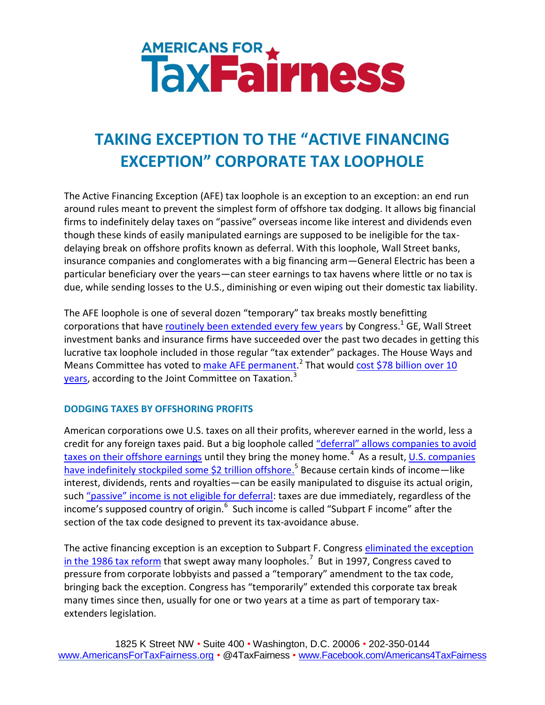# **AMERICANS FOR A THESS**

# **TAKING EXCEPTION TO THE "ACTIVE FINANCING EXCEPTION" CORPORATE TAX LOOPHOLE**

The Active Financing Exception (AFE) tax loophole is an exception to an exception: an end run around rules meant to prevent the simplest form of offshore tax dodging. It allows big financial firms to indefinitely delay taxes on "passive" overseas income like interest and dividends even though these kinds of easily manipulated earnings are supposed to be ineligible for the taxdelaying break on offshore profits known as deferral. With this loophole, Wall Street banks, insurance companies and conglomerates with a big financing arm—General Electric has been a particular beneficiary over the years—can steer earnings to tax havens where little or no tax is due, while sending losses to the U.S., diminishing or even wiping out their domestic tax liability.

The AFE loophole is one of several dozen "temporary" tax breaks mostly benefitting corporations that have *routinely been extended every few years by Congress*.<sup>1</sup> GE, Wall Street investment banks and insurance firms have succeeded over the past two decades in getting this lucrative tax loophole included in those regular "tax extender" packages. The House Ways and Means Committee has voted to [make AFE permanent.](https://www.congress.gov/bill/114th-congress/house-bill/961)<sup>2</sup> That would cost \$78 billion over 10 [years,](https://www.cbo.gov/publication/50836) according to the Joint Committee on Taxation.<sup>3</sup>

## **DODGING TAXES BY OFFSHORING PROFITS**

American corporations owe U.S. taxes on all their profits, wherever earned in the world, less a credit for any foreign taxes paid. But a big loophole called ["deferral" allows companies to avoid](https://info.publicintelligence.net/HSGAC-AppleOffshore.pdf)  [taxes on their offshore earnings](https://info.publicintelligence.net/HSGAC-AppleOffshore.pdf) until they bring the money home.<sup>4</sup> As a result, <u>U.S. companies</u> [have indefinitely stockpiled some \\$2 trillion offshore.](http://www.bloomberg.com/news/articles/2015-03-04/u-s-companies-are-stashing-2-1-trillion-overseas-to-avoid-taxes)<sup>5</sup> Because certain kinds of income—like interest, dividends, rents and royalties—can be easily manipulated to disguise its actual origin, such ["passive" income is not eligible for deferral](https://info.publicintelligence.net/HSGAC-AppleOffshore.pdf): taxes are due immediately, regardless of the income's supposed country of origin.<sup>6</sup> Such income is called "Subpart F income" after the section of the tax code designed to prevent its tax-avoidance abuse.

The active financing exception is an exception to Subpart F. Congress eliminated the exception [in the 1986 tax reform](http://www.taxjusticeblog.org/archive/2014/01/ge_just_lost_a_tax_break_-_and.php#.Vkt0pniHbNo) that swept away many loopholes.<sup>7</sup> But in 1997, Congress caved to pressure from corporate lobbyists and passed a "temporary" amendment to the tax code, bringing back the exception. Congress has "temporarily" extended this corporate tax break many times since then, usually for one or two years at a time as part of temporary taxextenders legislation.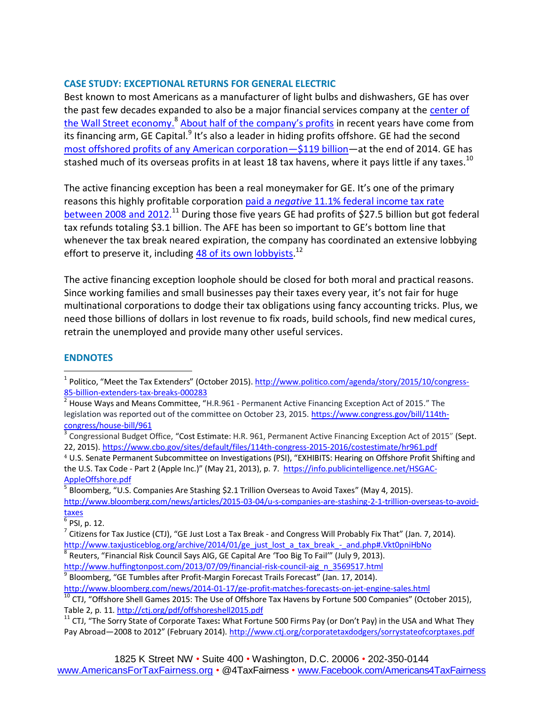### **CASE STUDY: EXCEPTIONAL RETURNS FOR GENERAL ELECTRIC**

Best known to most Americans as a manufacturer of light bulbs and dishwashers, GE has over the past few decades expanded to also be a major financial services company at the [center of](http://www.huffingtonpost.com/2013/07/09/financial-risk-council-aig_n_3569517.html)  [the Wall Street economy.](http://www.huffingtonpost.com/2013/07/09/financial-risk-council-aig_n_3569517.html)<sup>8</sup> [About half of the company's profits](http://www.bloomberg.com/news/2014-01-17/ge-profit-matches-forecasts-on-jet-engine-sales.html) in recent years have come from its financing arm, GE Capital.<sup>9</sup> It's also a leader in hiding profits offshore. GE had the second [most offshored profits of any American corporation](http://ctj.org/pdf/offshoreshell2015.pdf)—\$119 billion—at the end of 2014. GE has stashed much of its overseas profits in at least 18 tax havens, where it pays little if any taxes.<sup>10</sup>

The active financing exception has been a real moneymaker for GE. It's one of the primary reasons this highly profitable corporation paid a *negative* 11.1% [federal income tax rate](http://www.ctj.org/corporatetaxdodgers/sorrystateofcorptaxes.pdf)  [between 2008](http://www.ctj.org/corporatetaxdodgers/sorrystateofcorptaxes.pdf) and 2012.<sup>11</sup> During those five years GE had profits of \$27.5 billion but got federal tax refunds totaling \$3.1 billion. The AFE has been so important to GE's bottom line that whenever the tax break neared expiration, the company has coordinated an extensive lobbying effort to preserve it, including <u>48 of its own lobbyists.</u><sup>12</sup>

The active financing exception loophole should be closed for both moral and practical reasons. Since working families and small businesses pay their taxes every year, it's not fair for huge multinational corporations to dodge their tax obligations using fancy accounting tricks. Plus, we need those billions of dollars in lost revenue to fix roads, build schools, find new medical cures, retrain the unemployed and provide many other useful services.

### **ENDNOTES**

 $\overline{a}$ 

<sup>4</sup> U.S. Senate Permanent Subcommittee on Investigations (PSI), "EXHIBITS: Hearing on Offshore Profit Shifting and the U.S. Tax Code - Part 2 (Apple Inc.)" (May 21, 2013), p. 7. [https://info.publicintelligence.net/HSGAC-](https://info.publicintelligence.net/HSGAC-AppleOffshore.pdf)[AppleOffshore.pdf](https://info.publicintelligence.net/HSGAC-AppleOffshore.pdf)

5 Bloomberg, "U.S. Companies Are Stashing \$2.1 Trillion Overseas to Avoid Taxes" (May 4, 2015). [http://www.bloomberg.com/news/articles/2015-03-04/u-s-companies-are-stashing-2-1-trillion-overseas-to-avoid](http://www.bloomberg.com/news/articles/2015-03-04/u-s-companies-are-stashing-2-1-trillion-overseas-to-avoid-taxes)[taxes](http://www.bloomberg.com/news/articles/2015-03-04/u-s-companies-are-stashing-2-1-trillion-overseas-to-avoid-taxes)

6 PSI, p. 12.

[http://www.huffingtonpost.com/2013/07/09/financial-risk-council-aig\\_n\\_3569517.html](http://www.huffingtonpost.com/2013/07/09/financial-risk-council-aig_n_3569517.html)

 $^9$  Bloomberg, "GE Tumbles after Profit-Margin Forecast Trails Forecast" (Jan. 17, 2014).

<http://www.bloomberg.com/news/2014-01-17/ge-profit-matches-forecasts-on-jet-engine-sales.html>

<sup>&</sup>lt;sup>1</sup> Politico, "Meet the Tax Extenders" (October 2015). [http://www.politico.com/agenda/story/2015/10/congress-](http://www.politico.com/agenda/story/2015/10/congress-85-billion-extenders-tax-breaks-000283)[85-billion-extenders-tax-breaks-000283](http://www.politico.com/agenda/story/2015/10/congress-85-billion-extenders-tax-breaks-000283)

 $^2$  House Ways and Means Committee, "H.R.961 - Permanent Active Financing Exception Act of 2015." The legislation was reported out of the committee on October 23, 2015. [https://www.congress.gov/bill/114th](https://www.congress.gov/bill/114th-congress/house-bill/961)[congress/house-bill/961](https://www.congress.gov/bill/114th-congress/house-bill/961)

<sup>&</sup>lt;sup>3</sup> Congressional Budget Office, "Cost Estimate: H.R. 961, Permanent Active Financing Exception Act of 2015" (Sept. 22, 2015).<https://www.cbo.gov/sites/default/files/114th-congress-2015-2016/costestimate/hr961.pdf>

<sup>&</sup>lt;sup>7</sup> Citizens for Tax Justice (CTJ), "GE Just Lost a Tax Break - and Congress Will Probably Fix That" (Jan. 7, 2014). [http://www.taxjusticeblog.org/archive/2014/01/ge\\_just\\_lost\\_a\\_tax\\_break\\_-\\_and.php#.Vkt0pniHbNo](http://www.taxjusticeblog.org/archive/2014/01/ge_just_lost_a_tax_break_-_and.php#.Vkt0pniHbNo) <sup>8</sup> Reuters, "Financial Risk Council Says AIG, GE Capital Are 'Too Big To Fail'" (July 9, 2013).

 $^{10}$  CTJ, "Offshore Shell Games 2015: The Use of Offshore Tax Havens by Fortune 500 Companies" (October 2015), Table 2, p. 11[. http://ctj.org/pdf/offshoreshell2015.pdf](http://ctj.org/pdf/offshoreshell2015.pdf)

<sup>11</sup> CTJ, "The Sorry State of Corporate Taxes**:** What Fortune 500 Firms Pay (or Don't Pay) in the USA and What They Pay Abroad—2008 to 2012" (February 2014). <http://www.ctj.org/corporatetaxdodgers/sorrystateofcorptaxes.pdf>